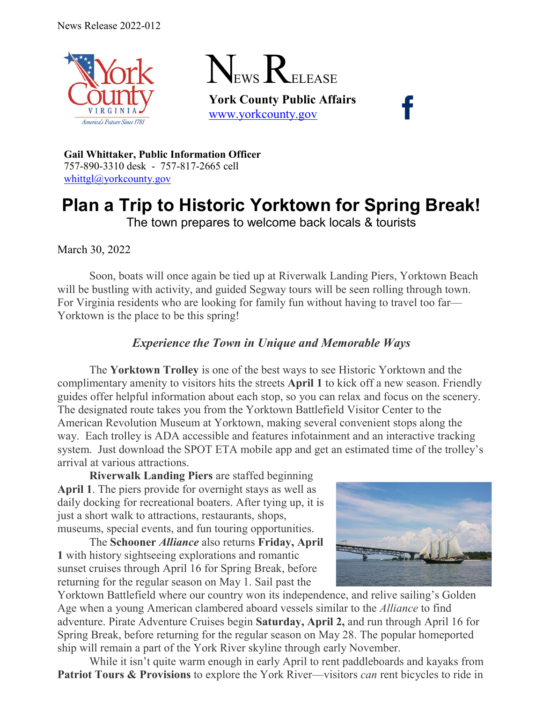

March 30, 2022



**York County Public Affairs** [www.yorkcounty.gov](http://www.yorkcounty.gov/)

**Gail Whittaker, Public Information Officer** 757-890-3310 desk - 757-817-2665 cell [whittgl@yorkcounty.gov](mailto:whittgl@yorkcounty.gov)

# **Plan a Trip to Historic Yorktown for Spring Break!** The town prepares to welcome back locals & tourists

Soon, boats will once again be tied up at Riverwalk Landing Piers, Yorktown Beach will be bustling with activity, and guided Segway tours will be seen rolling through town. For Virginia residents who are looking for family fun without having to travel too far— Yorktown is the place to be this spring!

## *Experience the Town in Unique and Memorable Ways*

The **Yorktown Trolley** is one of the best ways to see Historic Yorktown and the complimentary amenity to visitors hits the streets **April 1** to kick off a new season. Friendly guides offer helpful information about each stop, so you can relax and focus on the scenery. The designated route takes you from the Yorktown Battlefield Visitor Center to the American Revolution Museum at Yorktown, making several convenient stops along the way. Each trolley is ADA accessible and features infotainment and an interactive tracking system. Just download the SPOT ETA mobile app and get an estimated time of the trolley's arrival at various attractions.

**Riverwalk Landing Piers** are staffed beginning **April 1**. The piers provide for overnight stays as well as daily docking for recreational boaters. After tying up, it is just a short walk to attractions, restaurants, shops, museums, special events, and fun touring opportunities.

The **Schooner** *Alliance* also returns **Friday, April 1** with history sightseeing explorations and romantic sunset cruises through April 16 for Spring Break, before returning for the regular season on May 1. Sail past the



Yorktown Battlefield where our country won its independence, and relive sailing's Golden Age when a young American clambered aboard vessels similar to the *Alliance* to find adventure. Pirate Adventure Cruises begin **Saturday, April 2,** and run through April 16 for Spring Break, before returning for the regular season on May 28. The popular homeported ship will remain a part of the York River skyline through early November.

While it isn't quite warm enough in early April to rent paddleboards and kayaks from **Patriot Tours & Provisions** to explore the York River—visitors *can* rent bicycles to ride in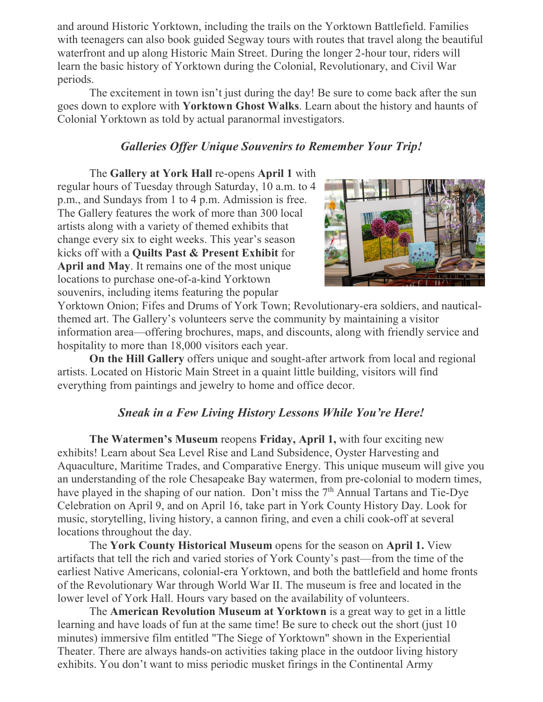and around Historic Yorktown, including the trails on the Yorktown Battlefield. Families with teenagers can also book guided Segway tours with routes that travel along the beautiful waterfront and up along Historic Main Street. During the longer 2-hour tour, riders will learn the basic history of Yorktown during the Colonial, Revolutionary, and Civil War periods.

The excitement in town isn't just during the day! Be sure to come back after the sun goes down to explore with **Yorktown Ghost Walks**. Learn about the history and haunts of Colonial Yorktown as told by actual paranormal investigators.

#### *Galleries Offer Unique Souvenirs to Remember Your Trip!*

The **Gallery at York Hall** re-opens **April 1** with regular hours of Tuesday through Saturday, 10 a.m. to 4 p.m., and Sundays from 1 to 4 p.m. Admission is free. The Gallery features the work of more than 300 local artists along with a variety of themed exhibits that change every six to eight weeks. This year's season kicks off with a **Quilts Past & Present Exhibit** for **April and May**. It remains one of the most unique locations to purchase one-of-a-kind Yorktown souvenirs, including items featuring the popular



Yorktown Onion; Fifes and Drums of York Town; Revolutionary-era soldiers, and nauticalthemed art. The Gallery's volunteers serve the community by maintaining a visitor information area—offering brochures, maps, and discounts, along with friendly service and hospitality to more than 18,000 visitors each year.

**On the Hill Gallery** offers unique and sought-after artwork from local and regional artists. Located on Historic Main Street in a quaint little building, visitors will find everything from paintings and jewelry to home and office decor.

#### *Sneak in a Few Living History Lessons While You're Here!*

**The Watermen's Museum** reopens **Friday, April 1,** with four exciting new exhibits! Learn about Sea Level Rise and Land Subsidence, Oyster Harvesting and Aquaculture, Maritime Trades, and Comparative Energy. This unique museum will give you an understanding of the role Chesapeake Bay watermen, from pre-colonial to modern times, have played in the shaping of our nation. Don't miss the 7<sup>th</sup> Annual Tartans and Tie-Dve Celebration on April 9, and on April 16, take part in York County History Day. Look for music, storytelling, living history, a cannon firing, and even a chili cook-off at several locations throughout the day.

The **York County Historical Museum** opens for the season on **April 1.** View artifacts that tell the rich and varied stories of York County's past—from the time of the earliest Native Americans, colonial-era Yorktown, and both the battlefield and home fronts of the Revolutionary War through World War II. The museum is free and located in the lower level of York Hall. Hours vary based on the availability of volunteers.

The **American Revolution Museum at Yorktown** is a great way to get in a little learning and have loads of fun at the same time! Be sure to check out the short (just 10 minutes) immersive film entitled "The Siege of Yorktown" shown in the Experiential Theater. There are always hands-on activities taking place in the outdoor living history exhibits. You don't want to miss periodic musket firings in the Continental Army